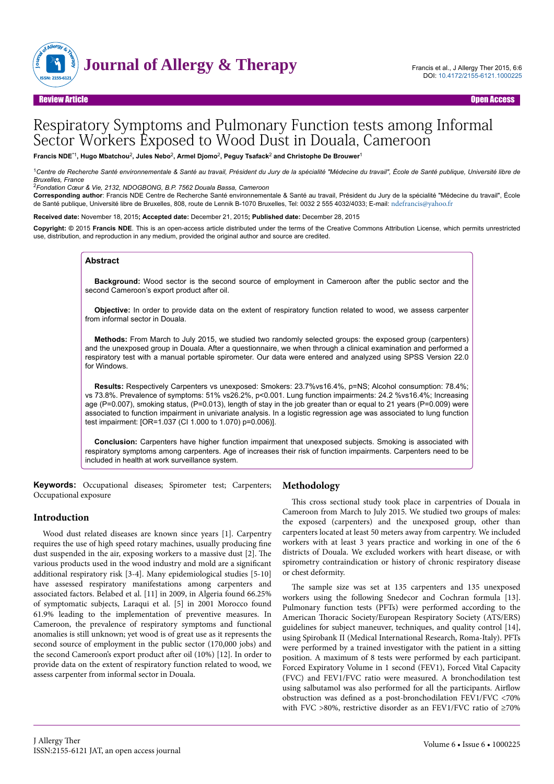

# Respiratory Symptoms and Pulmonary Function tests among Informal Sector Workers Exposed to Wood Dust in Douala, Cameroon

**Francis NDE**\*1**, Hugo Mbatchou**<sup>2</sup> **, Jules Nebo**<sup>2</sup> **, Armel Djomo**<sup>2</sup> **, Peguy Tsafack**<sup>2</sup>  **and Christophe De Brouwer**<sup>1</sup>

<sup>1</sup>*Centre de Recherche Santé environnementale & Santé au travail, Président du Jury de la spécialité "Médecine du travail", École de Santé publique, Université libre de Bruxelles, France*

<sup>2</sup>*Fondation Cœur & Vie, 2132, NDOGBONG, B.P. 7562 Douala Bassa, Cameroon*

**Corresponding author**: Francis NDE Centre de Recherche Santé environnementale & Santé au travail, Président du Jury de la spécialité "Médecine du travail", École de Santé publique, Université libre de Bruxelles, 808, route de Lennik B-1070 Bruxelles, Tel: 0032 2 555 4032/4033; E-mail: [ndefrancis@yahoo.fr](mailto:ndefrancis@yahoo.fr)

**Received date:** November 18, 2015**; Accepted date:** December 21, 2015**; Published date:** December 28, 2015

**Copyright: ©** 2015 **Francis NDE**. This is an open-access article distributed under the terms of the Creative Commons Attribution License, which permits unrestricted use, distribution, and reproduction in any medium, provided the original author and source are credited.

## **Abstract**

**Background:** Wood sector is the second source of employment in Cameroon after the public sector and the second Cameroon's export product after oil.

**Objective:** In order to provide data on the extent of respiratory function related to wood, we assess carpenter from informal sector in Douala.

**Methods:** From March to July 2015, we studied two randomly selected groups: the exposed group (carpenters) and the unexposed group in Douala. After a questionnaire, we when through a clinical examination and performed a respiratory test with a manual portable spirometer. Our data were entered and analyzed using SPSS Version 22.0 for Windows.

**Results:** Respectively Carpenters vs unexposed: Smokers: 23.7%vs16.4%, p=NS; Alcohol consumption: 78.4%; vs 73.8%. Prevalence of symptoms: 51% vs26.2%, p<0.001. Lung function impairments: 24.2 %vs16.4%; Increasing age (P=0.007), smoking status, (P=0.013), length of stay in the job greater than or equal to 21 years (P=0.009) were associated to function impairment in univariate analysis. In a logistic regression age was associated to lung function test impairment: [OR=1.037 (CI 1.000 to 1.070) p=0.006)].

**Conclusion:** Carpenters have higher function impairment that unexposed subjects. Smoking is associated with respiratory symptoms among carpenters. Age of increases their risk of function impairments. Carpenters need to be included in health at work surveillance system.

**Keywords:** Occupational diseases; Spirometer test; Carpenters; Occupational exposure

## **Methodology**

## **Introduction**

Wood dust related diseases are known since years [1]. Carpentry requires the use of high speed rotary machines, usually producing fine dust suspended in the air, exposing workers to a massive dust [2]. Нe various products used in the wood industry and mold are a significant additional respiratory risk [3-4]. Many epidemiological studies [5-10] have assessed respiratory manifestations among carpenters and associated factors. Belabed et al. [11] in 2009, in Algeria found 66.25% of symptomatic subjects, Laraqui et al. [5] in 2001 Morocco found 61.9% leading to the implementation of preventive measures. In Cameroon, the prevalence of respiratory symptoms and functional anomalies is still unknown; yet wood is of great use as it represents the second source of employment in the public sector (170,000 jobs) and the second Cameroon's export product after oil (10%) [12]. In order to provide data on the extent of respiratory function related to wood, we assess carpenter from informal sector in Douala.

This cross sectional study took place in carpentries of Douala in Cameroon from March to July 2015. We studied two groups of males: the exposed (carpenters) and the unexposed group, other than carpenters located at least 50 meters away from carpentry. We included workers with at least 3 years practice and working in one of the 6 districts of Douala. We excluded workers with heart disease, or with spirometry contraindication or history of chronic respiratory disease or chest deformity.

The sample size was set at 135 carpenters and 135 unexposed workers using the following Snedecor and Cochran formula [13]. Pulmonary function tests (PFTs) were performed according to the American Thoracic Society/European Respiratory Society (ATS/ERS) guidelines for subject maneuver, techniques, and quality control [14], using Spirobank II (Medical International Research, Roma-Italy). PFTs were performed by a trained investigator with the patient in a sitting position. A maximum of 8 tests were performed by each participant. Forced Expiratory Volume in 1 second (FEV1), Forced Vital Capacity (FVC) and FEV1/FVC ratio were measured. A bronchodilation test using salbutamol was also performed for all the participants. Airflow obstruction was defined as a post-bronchodilation FEV1/FVC <70% with FVC >80%, restrictive disorder as an FEV1/FVC ratio of ≥70%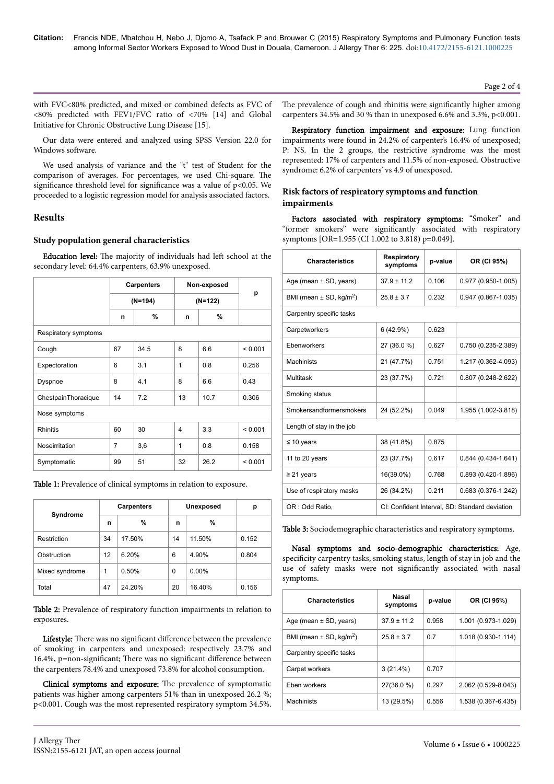Page 2 of 4

with FVC<80% predicted, and mixed or combined defects as FVC of <80% predicted with FEV1/FVC ratio of <70% [14] and Global Initiative for Chronic Obstructive Lung Disease [15].

Our data were entered and analyzed using SPSS Version 22.0 for Windows software.

We used analysis of variance and the "t" test of Student for the comparison of averages. For percentages, we used Chi-square. The significance threshold level for significance was a value of  $p<0.05$ . We proceeded to a logistic regression model for analysis associated factors.

## **Results**

## Study population general characteristics

**Education level:** The majority of individuals had left school at the secondary level: 64.4% carpenters, 63.9% unexposed.

|                      | <b>Carpenters</b><br>$(N=194)$ |      | Non-exposed<br>$(N=122)$ |      | p       |  |
|----------------------|--------------------------------|------|--------------------------|------|---------|--|
|                      |                                |      |                          |      |         |  |
|                      | %<br>n                         |      | n                        | %    |         |  |
| Respiratory symptoms |                                |      |                          |      |         |  |
| Cough                | 67                             | 34.5 | 8                        | 6.6  | < 0.001 |  |
| Expectoration        | 6                              | 3.1  | 1                        | 0.8  | 0.256   |  |
| Dyspnoe              | 8                              | 4.1  | 8                        | 6.6  | 0.43    |  |
| ChestpainThoracique  | 14                             | 7.2  | 13                       | 10.7 | 0.306   |  |
| Nose symptoms        |                                |      |                          |      |         |  |
| <b>Rhinitis</b>      | 60                             | 30   | $\overline{4}$           | 3.3  | < 0.001 |  |
| Noseirritation       | $\overline{7}$                 | 3,6  | 1                        | 0.8  | 0.158   |  |
| Symptomatic          | 99                             | 51   | 32                       | 26.2 | < 0.001 |  |

Table 1: Prevalence of clinical symptoms in relation to exposure.

| Syndrome       | <b>Carpenters</b> |        |          | <b>Unexposed</b> | р     |
|----------------|-------------------|--------|----------|------------------|-------|
|                | %<br>n            |        | n        | %                |       |
| Restriction    | 34                | 17.50% | 14       | 11.50%           | 0.152 |
| Obstruction    | $12 \overline{ }$ | 6.20%  | 6        | 4.90%            | 0.804 |
| Mixed syndrome | 1                 | 0.50%  | $\Omega$ | $0.00\%$         |       |
| Total          | 47                | 24.20% | 20       | 16.40%           | 0.156 |

Table 2: Prevalence of respiratory function impairments in relation to exposures.

Lifestyle: There was no significant difference between the prevalence of smoking in carpenters and unexposed: respectively 23.7% and 16.4%, p=non-significant; There was no significant difference between the carpenters 78.4% and unexposed 73.8% for alcohol consumption.

Clinical symptoms and exposure: The prevalence of symptomatic patients was higher among carpenters 51% than in unexposed 26.2 %; p<0.001. Cough was the most represented respiratory symptom 34.5%.

The prevalence of cough and rhinitis were significantly higher among carpenters 34.5% and 30 % than in unexposed 6.6% and 3.3%, p<0.001.

Respiratory function impairment and exposure: Lung function impairments were found in 24.2% of carpenter's 16.4% of unexposed; P: NS. In the 2 groups, the restrictive syndrome was the most represented: 17% of carpenters and 11.5% of non-exposed. Obstructive syndrome: 6.2% of carpenters' vs 4.9 of unexposed.

## Risk factors of respiratory symptoms and function impairments

Factors associated with respiratory symptoms: "Smoker" and "former smokers" were significantly associated with respiratory symptoms [OR=1.955 (CI 1.002 to 3.818) p=0.049].

| <b>Characteristics</b>                  | Respiratory<br>symptoms                        | p-value | OR (CI 95%)            |  |
|-----------------------------------------|------------------------------------------------|---------|------------------------|--|
| Age (mean $\pm$ SD, years)              | $37.9 \pm 11.2$                                | 0.106   | 0.977 (0.950-1.005)    |  |
| BMI (mean $\pm$ SD, kg/m <sup>2</sup> ) | $25.8 \pm 3.7$                                 | 0.232   | 0.947 (0.867-1.035)    |  |
| Carpentry specific tasks                |                                                |         |                        |  |
| Carpetworkers                           | 6(42.9%)                                       | 0.623   |                        |  |
| Ebenworkers                             | 27 (36.0 %)                                    | 0.627   | 0.750 (0.235-2.389)    |  |
| Machinists                              | 21 (47.7%)                                     | 0.751   | 1.217 (0.362-4.093)    |  |
| Multitask                               | 23 (37.7%)                                     | 0.721   | $0.807(0.248 - 2.622)$ |  |
| Smoking status                          |                                                |         |                        |  |
| Smokersandformersmokers                 | 24 (52.2%)                                     | 0.049   | 1.955 (1.002-3.818)    |  |
| Length of stay in the job               |                                                |         |                        |  |
| $\leq 10$ years                         | 38 (41.8%)                                     | 0.875   |                        |  |
| 11 to 20 years                          | 23 (37.7%)                                     | 0.617   | $0.844(0.434 - 1.641)$ |  |
| $\geq$ 21 years                         | 16(39.0%)                                      | 0.768   | $0.893(0.420-1.896)$   |  |
| Use of respiratory masks                | 26 (34.2%)                                     | 0.211   | 0.683 (0.376-1.242)    |  |
| OR: Odd Ratio,                          | CI: Confident Interval, SD: Standard deviation |         |                        |  |

Table 3: Sociodemographic characteristics and respiratory symptoms.

Nasal symptoms and socio-demographic characteristics: Age, specificity carpentry tasks, smoking status, length of stay in job and the use of safety masks were not significantly associated with nasal symptoms.

| <b>Characteristics</b>                  | <b>Nasal</b><br>symptoms | p-value | OR (CI 95%)         |
|-----------------------------------------|--------------------------|---------|---------------------|
| Age (mean $\pm$ SD, years)              | $379 + 112$              | 0.958   | 1.001 (0.973-1.029) |
| BMI (mean $\pm$ SD, kg/m <sup>2</sup> ) | $25.8 \pm 3.7$           | 0.7     | 1.018 (0.930-1.114) |
| Carpentry specific tasks                |                          |         |                     |
| Carpet workers                          | $3(21.4\%)$              | 0.707   |                     |
| Eben workers                            | 27(36.0 %)               | 0.297   | 2.062 (0.529-8.043) |
| <b>Machinists</b>                       | 13 (29.5%)               | 0.556   | 1.538 (0.367-6.435) |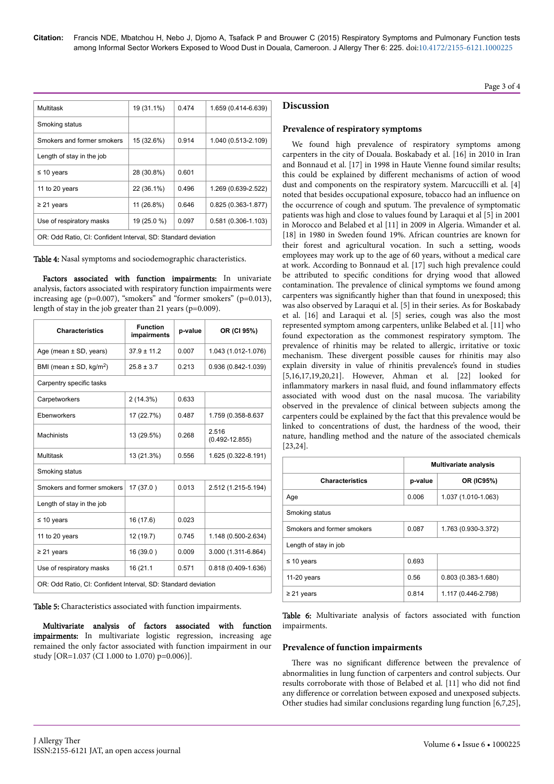| Multitask                                                     | 19 (31.1%)  | 0.474 | 1.659 (0.414-6.639)    |
|---------------------------------------------------------------|-------------|-------|------------------------|
|                                                               |             |       |                        |
| Smoking status                                                |             |       |                        |
| Smokers and former smokers                                    | 15 (32.6%)  | 0.914 | 1.040 (0.513-2.109)    |
| Length of stay in the job                                     |             |       |                        |
| $\leq 10$ years                                               | 28 (30.8%)  | 0.601 |                        |
| 11 to 20 years                                                | 22 (36.1%)  | 0.496 | 1.269 (0.639-2.522)    |
| $\geq$ 21 years                                               | 11 (26.8%)  | 0.646 | $0.825(0.363 - 1.877)$ |
| Use of respiratory masks                                      | 19 (25.0 %) | 0.097 | $0.581(0.306 - 1.103)$ |
| OR: Odd Ratio, CI: Confident Interval, SD: Standard deviation |             |       |                        |

Table 4: Nasal symptoms and sociodemographic characteristics.

Factors associated with function impairments: In univariate analysis, factors associated with respiratory function impairments were increasing age (p=0.007), "smokers" and "former smokers" (p=0.013), length of stay in the job greater than 21 years (p=0.009).

| <b>Characteristics</b>                                        | <b>Function</b><br>impairments | p-value | OR (CI 95%)                 |  |  |
|---------------------------------------------------------------|--------------------------------|---------|-----------------------------|--|--|
| Age (mean $\pm$ SD, years)                                    | $37.9 \pm 11.2$                | 0.007   | 1.043 (1.012-1.076)         |  |  |
| BMI (mean $\pm$ SD, kg/m <sup>2</sup> )                       | $25.8 \pm 3.7$                 | 0.213   | 0.936 (0.842-1.039)         |  |  |
| Carpentry specific tasks                                      |                                |         |                             |  |  |
| Carpetworkers                                                 | 2(14.3%)                       | 0.633   |                             |  |  |
| Ebenworkers                                                   | 17 (22.7%)                     | 0.487   | 1.759 (0.358-8.637          |  |  |
| <b>Machinists</b>                                             | 13 (29.5%)                     | 0.268   | 2.516<br>$(0.492 - 12.855)$ |  |  |
| Multitask                                                     | 13 (21.3%)                     | 0.556   | 1.625 (0.322-8.191)         |  |  |
| Smoking status                                                |                                |         |                             |  |  |
| Smokers and former smokers                                    | 17 (37.0)                      | 0.013   | 2.512 (1.215-5.194)         |  |  |
| Length of stay in the job                                     |                                |         |                             |  |  |
| $\leq 10$ years                                               | 16 (17.6)                      | 0.023   |                             |  |  |
| 11 to 20 years                                                | 12 (19.7)                      | 0 745   | 1.148 (0.500-2.634)         |  |  |
| $\geq$ 21 years                                               | 16 (39.0)                      | 0.009   | 3.000 (1.311-6.864)         |  |  |
| Use of respiratory masks                                      | 16 (21.1                       | 0.571   | 0.818 (0.409-1.636)         |  |  |
| OR: Odd Ratio, CI: Confident Interval, SD: Standard deviation |                                |         |                             |  |  |

Table 5: Characteristics associated with function impairments.

Multivariate analysis of factors associated with function impairments: In multivariate logistic regression, increasing age remained the only factor associated with function impairment in our study [OR=1.037 (CI 1.000 to 1.070) p=0.006)].

## **Discussion**

## **Prevalence of respiratory symptoms**

We found high prevalence of respiratory symptoms among carpenters in the city of Douala. Boskabady et al. [16] in 2010 in Iran and Bonnaud et al. [17] in 1998 in Haute Vienne found similar results; this could be explained by different mechanisms of action of wood dust and components on the respiratory system. Marcuccilli et al. [4] noted that besides occupational exposure, tobacco had an influence on the occurrence of cough and sputum. Нe prevalence of symptomatic patients was high and close to values found by Laraqui et al [5] in 2001 in Morocco and Belabed et al [11] in 2009 in Algeria. Wimander et al. [18] in 1980 in Sweden found 19%. African countries are known for their forest and agricultural vocation. In such a setting, woods employees may work up to the age of 60 years, without a medical care at work. According to Bonnaud et al. [17] such high prevalence could be attributed to specific conditions for drying wood that allowed contamination. Нe prevalence of clinical symptoms we found among carpenters was significantly higher than that found in unexposed; this was also observed by Laraqui et al. [5] in their series. As for Boskabady et al. [16] and Laraqui et al. [5] series, cough was also the most represented symptom among carpenters, unlike Belabed et al. [11] who found expectoration as the commonest respiratory symptom. Нe prevalence of rhinitis may be related to allergic, irritative or toxic mechanism. Нese divergent possible causes for rhinitis may also explain diversity in value of rhinitis prevalence's found in studies [5,16,17,19,20,21]. However, Ahman et al. [22] looked for inflammatory markers in nasal fluid, and found inflammatory effects associated with wood dust on the nasal mucosa. Нe variability observed in the prevalence of clinical between subjects among the carpenters could be explained by the fact that this prevalence would be linked to concentrations of dust, the hardness of the wood, their nature, handling method and the nature of the associated chemicals [23,24].

|                            | <b>Multivariate analysis</b>   |                     |  |  |
|----------------------------|--------------------------------|---------------------|--|--|
| <b>Characteristics</b>     | p-value                        | OR (IC95%)          |  |  |
| Age                        | 0.006                          | 1.037 (1.010-1.063) |  |  |
| Smoking status             |                                |                     |  |  |
| Smokers and former smokers | 0.087                          | 1.763 (0.930-3.372) |  |  |
| Length of stay in job      |                                |                     |  |  |
| $\leq 10$ years            | 0.693                          |                     |  |  |
| 11-20 years                | $0.803(0.383 - 1.680)$<br>0.56 |                     |  |  |
| $\geq$ 21 years            | 0.814                          | 1.117 (0.446-2.798) |  |  |

Table 6: Multivariate analysis of factors associated with function impairments.

## **Prevalence of function impairments**

There was no significant difference between the prevalence of abnormalities in lung function of carpenters and control subjects. Our results corroborate with those of Belabed et al. [11] who did not find any difference or correlation between exposed and unexposed subjects. Other studies had similar conclusions regarding lung function [6,7,25],

Page 3 of 4